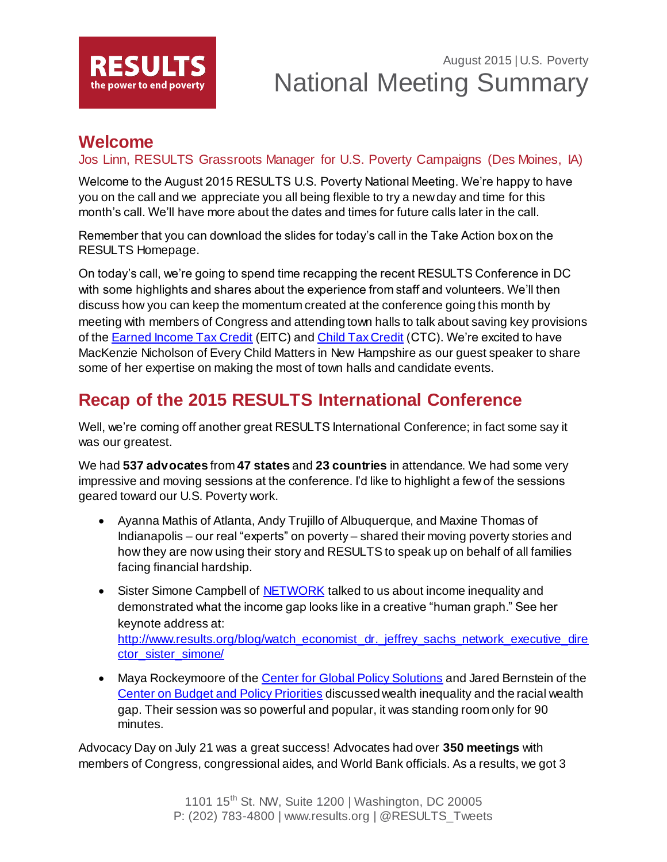

# August 2015 | U.S. Poverty National Meeting Summary

### **Welcome**

#### Jos Linn, RESULTS Grassroots Manager for U.S. Poverty Campaigns (Des Moines, IA)

Welcome to the August 2015 RESULTS U.S. Poverty National Meeting. We're happy to have you on the call and we appreciate you all being flexible to try a new day and time for this month's call. We'll have more about the dates and times for future calls later in the call.

Remember that you can download the slides for today's call in the Take Action box on the RESULTS Homepage.

On today's call, we're going to spend time recapping the recent RESULTS Conference in DC with some highlights and shares about the experience from staff and volunteers. We'll then discuss how you can keep the momentum created at the conference going this month by meeting with members of Congress and attending town halls to talk about saving key provisions of the **Earned Income Tax Credit (EITC) and [Child Tax Credit](http://www.results.org/issues/child_tax_credit/) (CTC)**. We're excited to have MacKenzie Nicholson of Every Child Matters in New Hampshire as our guest speaker to share some of her expertise on making the most of town halls and candidate events.

# **Recap of the 2015 RESULTS International Conference**

Well, we're coming off another great RESULTS International Conference; in fact some say it was our greatest.

We had **537 advocates** from **47 states** and **23 countries** in attendance. We had some very impressive and moving sessions at the conference. I'd like to highlight a few of the sessions geared toward our U.S. Poverty work.

- Ayanna Mathis of Atlanta, Andy Trujillo of Albuquerque, and Maxine Thomas of Indianapolis – our real "experts" on poverty – shared their moving poverty stories and how they are now using their story and RESULTS to speak up on behalf of all families facing financial hardship.
- Sister Simone Campbell of [NETWORK](http://www.networklobby.org/) talked to us about income inequality and demonstrated what the income gap looks like in a creative "human graph." See her keynote address at: [http://www.results.org/blog/watch\\_economist\\_dr.\\_jeffrey\\_sachs\\_network\\_executive\\_dire](http://www.results.org/blog/watch_economist_dr._jeffrey_sachs_network_executive_director_sister_simone/) [ctor\\_sister\\_simone/](http://www.results.org/blog/watch_economist_dr._jeffrey_sachs_network_executive_director_sister_simone/)
- Maya Rockeymoore of th[e Center for Global Policy Solutions](http://globalpolicysolutions.com/) and Jared Bernstein of the [Center on Budget and Policy Priorities](http://www.cbpp.org/) discussed wealth inequality and the racial wealth gap. Their session was so powerful and popular, it was standing room only for 90 minutes.

Advocacy Day on July 21 was a great success! Advocates had over **350 meetings** with members of Congress, congressional aides, and World Bank officials. As a results, we got 3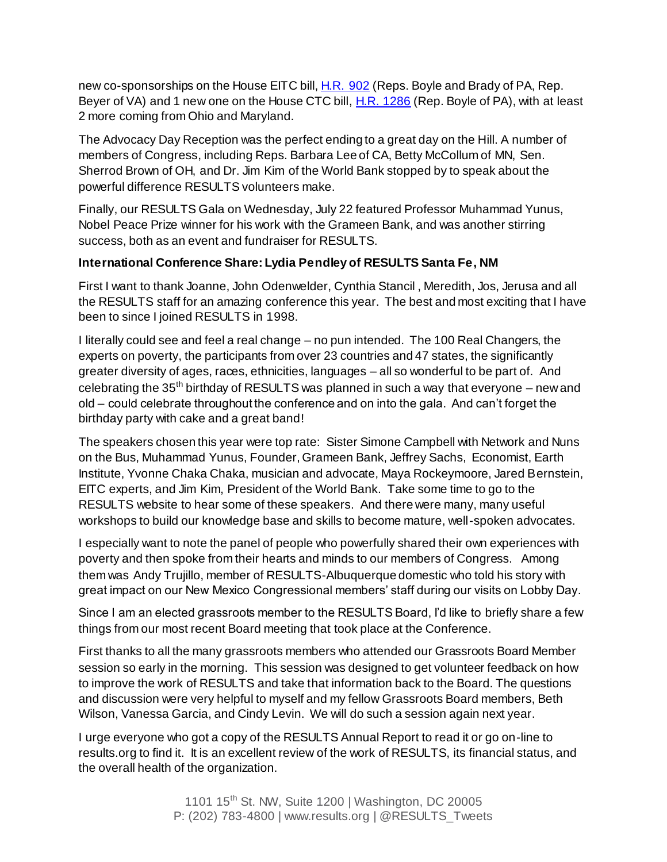new co-sponsorships on the House EITC bill[, H.R. 902](http://capwiz.com/results/issues/bills/?bill=64181791) (Reps. Boyle and Brady of PA, Rep. Beyer of VA) and 1 new one on the House CTC bill, [H.R. 1286](http://capwiz.com/results/issues/bills/?bill=64205501) (Rep. Boyle of PA), with at least 2 more coming from Ohio and Maryland.

The Advocacy Day Reception was the perfect ending to a great day on the Hill. A number of members of Congress, including Reps. Barbara Lee of CA, Betty McCollum of MN, Sen. Sherrod Brown of OH, and Dr. Jim Kim of the World Bank stopped by to speak about the powerful difference RESULTS volunteers make.

Finally, our RESULTS Gala on Wednesday, July 22 featured Professor Muhammad Yunus, Nobel Peace Prize winner for his work with the Grameen Bank, and was another stirring success, both as an event and fundraiser for RESULTS.

#### **International Conference Share: Lydia Pendley of RESULTS Santa Fe, NM**

First I want to thank Joanne, John Odenwelder, Cynthia Stancil , Meredith, Jos, Jerusa and all the RESULTS staff for an amazing conference this year. The best and most exciting that I have been to since I joined RESULTS in 1998.

I literally could see and feel a real change – no pun intended. The 100 Real Changers, the experts on poverty, the participants from over 23 countries and 47 states, the significantly greater diversity of ages, races, ethnicities, languages – all so wonderful to be part of. And celebrating the  $35<sup>th</sup>$  birthday of RESULTS was planned in such a way that everyone – new and old – could celebrate throughout the conference and on into the gala. And can't forget the birthday party with cake and a great band!

The speakers chosen this year were top rate: Sister Simone Campbell with Network and Nuns on the Bus, Muhammad Yunus, Founder, Grameen Bank, Jeffrey Sachs, Economist, Earth Institute, Yvonne Chaka Chaka, musician and advocate, Maya Rockeymoore, Jared Bernstein, EITC experts, and Jim Kim, President of the World Bank. Take some time to go to the RESULTS website to hear some of these speakers. And there were many, many useful workshops to build our knowledge base and skills to become mature, well-spoken advocates.

I especially want to note the panel of people who powerfully shared their own experiences with poverty and then spoke from their hearts and minds to our members of Congress. Among them was Andy Trujillo, member of RESULTS-Albuquerque domestic who told his story with great impact on our New Mexico Congressional members' staff during our visits on Lobby Day.

Since I am an elected grassroots member to the RESULTS Board, I'd like to briefly share a few things from our most recent Board meeting that took place at the Conference.

First thanks to all the many grassroots members who attended our Grassroots Board Member session so early in the morning. This session was designed to get volunteer feedback on how to improve the work of RESULTS and take that information back to the Board. The questions and discussion were very helpful to myself and my fellow Grassroots Board members, Beth Wilson, Vanessa Garcia, and Cindy Levin. We will do such a session again next year.

I urge everyone who got a copy of the RESULTS Annual Report to read it or go on-line to results.org to find it. It is an excellent review of the work of RESULTS, its financial status, and the overall health of the organization.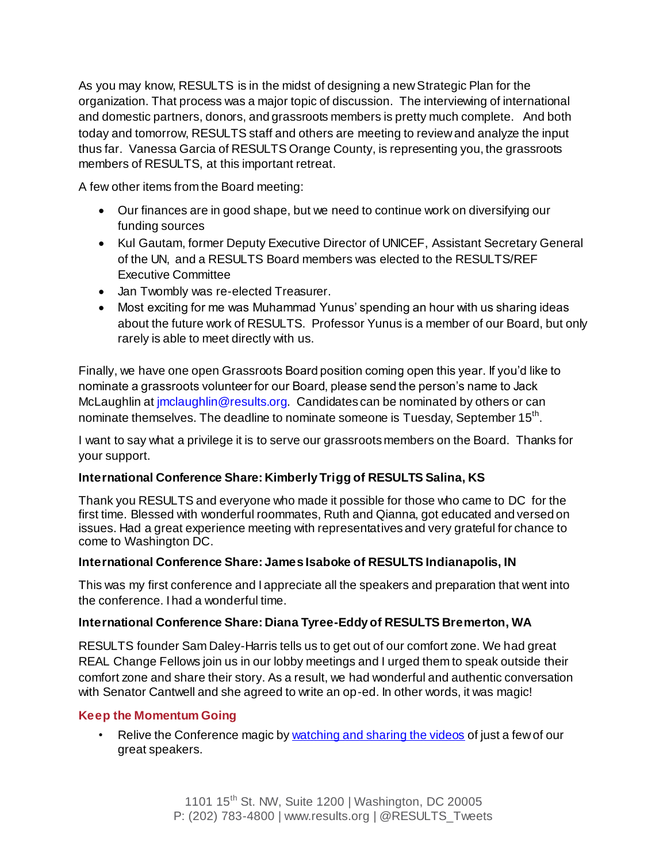As you may know, RESULTS is in the midst of designing a new Strategic Plan for the organization. That process was a major topic of discussion. The interviewing of international and domestic partners, donors, and grassroots members is pretty much complete. And both today and tomorrow, RESULTS staff and others are meeting to review and analyze the input thus far. Vanessa Garcia of RESULTS Orange County, is representing you, the grassroots members of RESULTS, at this important retreat.

A few other items from the Board meeting:

- Our finances are in good shape, but we need to continue work on diversifying our funding sources
- Kul Gautam, former Deputy Executive Director of UNICEF, Assistant Secretary General of the UN, and a RESULTS Board members was elected to the RESULTS/REF Executive Committee
- Jan Twombly was re-elected Treasurer.
- Most exciting for me was Muhammad Yunus' spending an hour with us sharing ideas about the future work of RESULTS. Professor Yunus is a member of our Board, but only rarely is able to meet directly with us.

Finally, we have one open Grassroots Board position coming open this year. If you'd like to nominate a grassroots volunteer for our Board, please send the person's name to Jack McLaughlin at *imclaughlin@results.org.* Candidates can be nominated by others or can nominate themselves. The deadline to nominate someone is Tuesday, September 15<sup>th</sup>.

I want to say what a privilege it is to serve our grassroots members on the Board. Thanks for your support.

#### **International Conference Share: Kimberly Trigg of RESULTS Salina, KS**

Thank you RESULTS and everyone who made it possible for those who came to DC for the first time. Blessed with wonderful roommates, Ruth and Qianna, got educated and versed on issues. Had a great experience meeting with representatives and very grateful for chance to come to Washington DC.

#### **International Conference Share: James Isaboke of RESULTS Indianapolis, IN**

This was my first conference and I appreciate all the speakers and preparation that went into the conference. I had a wonderful time.

#### **International Conference Share: Diana Tyree-Eddy of RESULTS Bremerton, WA**

RESULTS founder Sam Daley-Harris tells us to get out of our comfort zone. We had great REAL Change Fellows join us in our lobby meetings and I urged them to speak outside their comfort zone and share their story. As a result, we had wonderful and authentic conversation with Senator Cantwell and she agreed to write an op-ed. In other words, it was magic!

#### **Keep the Momentum Going**

• Relive the Conference magic b[y watching and sharing the videos](http://r20.rs6.net/tn.jsp?f=001gLf6MIz3sE1OvGNFE_AYEKkmFB-3RXX_YMA7BO52cVI0qbrxVMR3zoDDt-TjXKHe9SVCtFL_fh0FUYa9Jo8YGn6m-02SgX6XZvzauW6Xjnrd3QnSyPanZnq0FyagT--QE1WCYi_d8_RCEmmfwLqN7WC8HLytHpwwRISResWvuLyVBxau-T01BGd1jom7rOKTgZP01WzRSAji6V-XNiafRiR2zD8PWKQKaVPZKY4DZY1QNazUbCXb8eADmsfLDCWRkbEkqPNUAbaBcu4-T5dx6653z_As1Jl4&c=Ah9cDDXXTN3IaIj0UpB3xJz9qrygKL4mmoILI0X47nt_XMohOUbG5g==&ch=zpg4r1GOaXcf9_SXi89ci8YiLBXfpgCG_XFSBIItFVh_STzlR_h3Pg==) of just a few of our great speakers.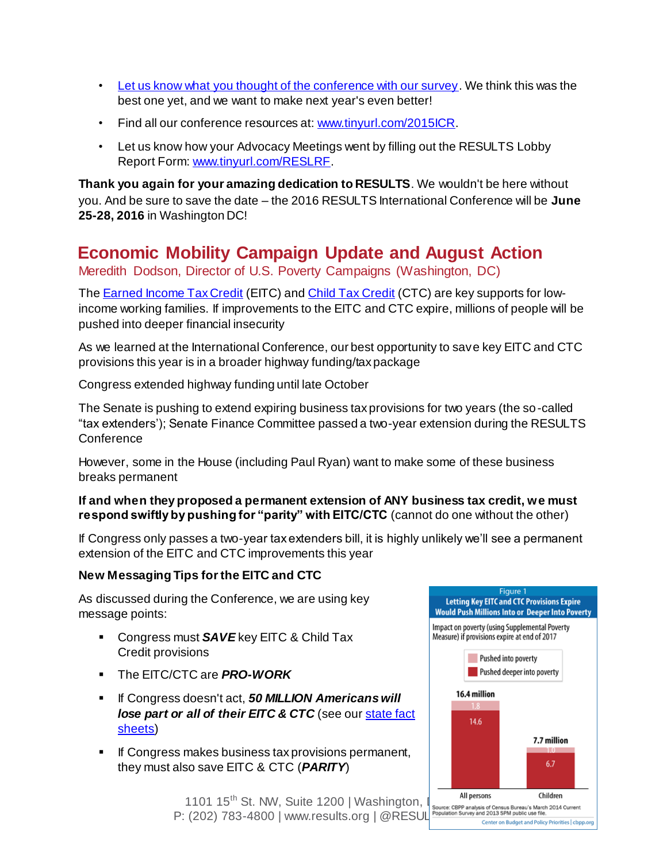- [Let us know what you thought of the conference with our survey](http://r20.rs6.net/tn.jsp?f=001gLf6MIz3sE1OvGNFE_AYEKkmFB-3RXX_YMA7BO52cVI0qbrxVMR3zoDDt-TjXKHe3T3KgcuFBgu3mRCLAhbcMGYqoB82o4fI0r9BQB2SUFJds3bnrUzyXtr5239U5k9R6vSMZirwUXVIe3PiHDSvbd-3CJ3hX-T7VkEzmYtCmeG4bxrFvqMc0asyBEMlrpxJ&c=Ah9cDDXXTN3IaIj0UpB3xJz9qrygKL4mmoILI0X47nt_XMohOUbG5g==&ch=zpg4r1GOaXcf9_SXi89ci8YiLBXfpgCG_XFSBIItFVh_STzlR_h3Pg==). We think this was the best one yet, and we want to make next year's even better!
- Find all our conference resources at[: www.tinyurl.com/2015ICR](http://www.tinyurl.com/2015ICR).
- Let us know how your Advocacy Meetings went by filling out the RESULTS Lobby Report Form[: www.tinyurl.com/RESLRF.](http://www.tinyurl.com/RESLRF)

**Thank you again for your amazing dedication to RESULTS**. We wouldn't be here without you. And be sure to save the date – the 2016 RESULTS International Conference will be **June 25-28, 2016** in Washington DC!

# **Economic Mobility Campaign Update and August Action**

Meredith Dodson, Director of U.S. Poverty Campaigns (Washington, DC)

The **[Earned Income Tax Credit](http://www.results.org/issues/earned_income_tax_credit/)** (EITC) and **[Child Tax Credit](http://www.results.org/issues/child_tax_credit/)** (CTC) are key supports for lowincome working families. If improvements to the EITC and CTC expire, millions of people will be pushed into deeper financial insecurity

As we learned at the International Conference, our best opportunity to save key EITC and CTC provisions this year is in a broader highway funding/tax package

Congress extended highway funding until late October

The Senate is pushing to extend expiring business tax provisions for two years (the so-called "tax extenders'); Senate Finance Committee passed a two-year extension during the RESULTS **Conference** 

However, some in the House (including Paul Ryan) want to make some of these business breaks permanent

#### **If and when they proposed a permanent extension of ANY business tax credit, we must respond swiftly by pushing for "parity" with EITC/CTC** (cannot do one without the other)

If Congress only passes a two-year tax extenders bill, it is highly unlikely we'll see a permanent extension of the EITC and CTC improvements this year

#### **New Messaging Tips for the EITC and CTC**

As discussed during the Conference, we are using key message points:

- **Congress must SAVE** key EITC & Child Tax Credit provisions
- The EITC/CTC are *PRO-WORK*
- If Congress doesn't act, *50 MILLION Americans will*  **lose part or all of their EITC & CTC** (see our state fact [sheets\)](http://www.results.org/uploads/files/State_Fact_Sheets_7.6.15.docx)
- **If Congress makes business tax provisions permanent,** they must also save EITC & CTC (*PARITY*)



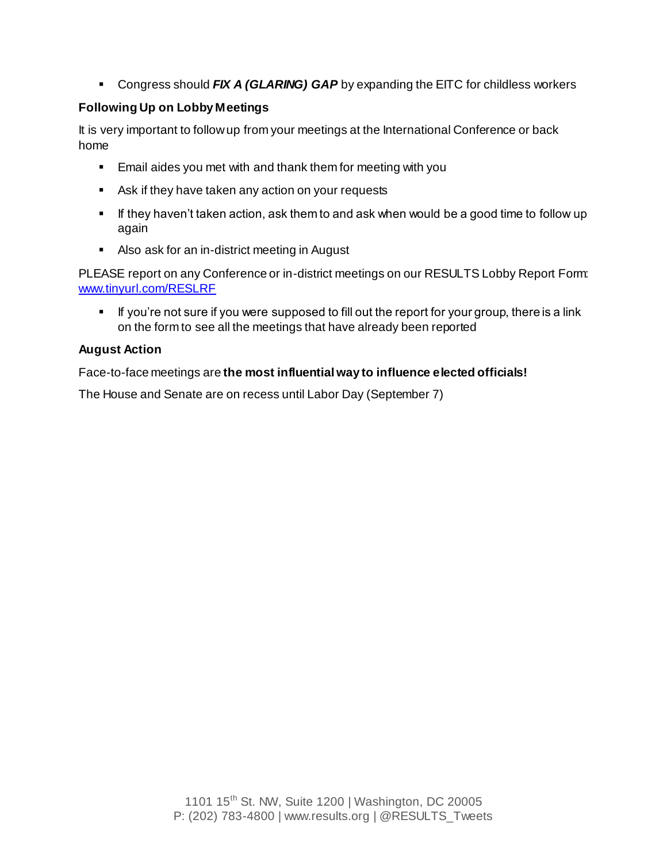Congress should *FIX A (GLARING) GAP* by expanding the EITC for childless workers

#### **Following Up on Lobby Meetings**

It is very important to follow up from your meetings at the International Conference or back home

- **Email aides you met with and thank them for meeting with you**
- Ask if they have taken any action on your requests
- If they haven't taken action, ask them to and ask when would be a good time to follow up again
- Also ask for an in-district meeting in August

PLEASE report on any Conference or in-district meetings on our RESULTS Lobby Report Form: [www.tinyurl.com/RESLRF](http://www.tinyurl.com/RESLRF)

If you're not sure if you were supposed to fill out the report for your group, there is a link on the form to see all the meetings that have already been reported

#### **August Action**

Face-to-face meetings are **the most influential way to influence elected officials!**

The House and Senate are on recess until Labor Day (September 7)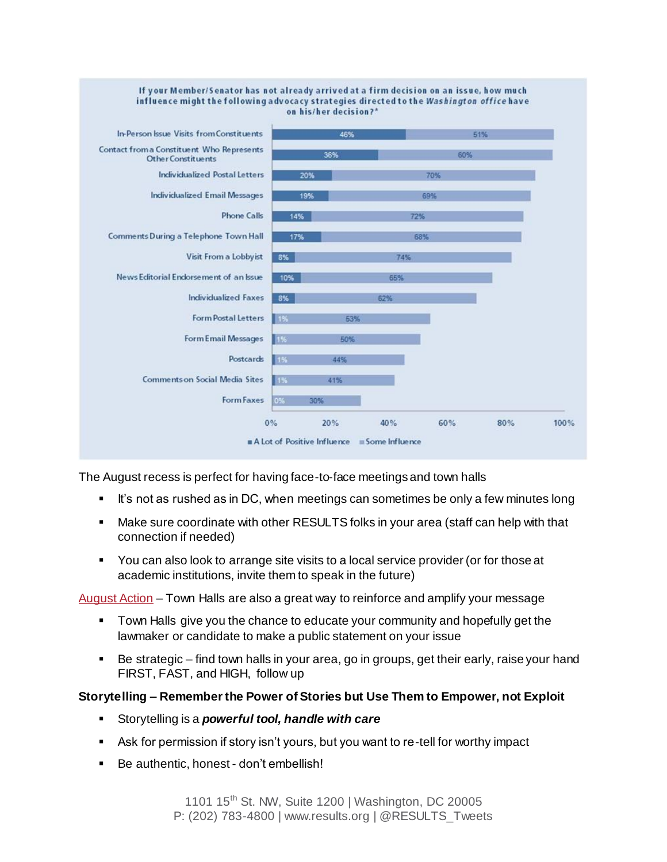

The August recess is perfect for having face-to-face meetings and town halls

- It's not as rushed as in DC, when meetings can sometimes be only a few minutes long
- Make sure coordinate with other RESULTS folks in your area (staff can help with that connection if needed)
- You can also look to arrange site visits to a local service provider (or for those at academic institutions, invite them to speak in the future)

[August Action](http://www.results.org/take_action/august_2015_u.s._poverty_action/) – Town Halls are also a great way to reinforce and amplify your message

- Town Halls give you the chance to educate your community and hopefully get the lawmaker or candidate to make a public statement on your issue
- Be strategic find town halls in your area, go in groups, get their early, raise your hand FIRST, FAST, and HIGH, follow up

#### **Storytelling – Remember the Power of Stories but Use Them to Empower, not Exploit**

- Storytelling is a *powerful tool, handle with care*
- Ask for permission if story isn't yours, but you want to re-tell for worthy impact
- Be authentic, honest don't embellish!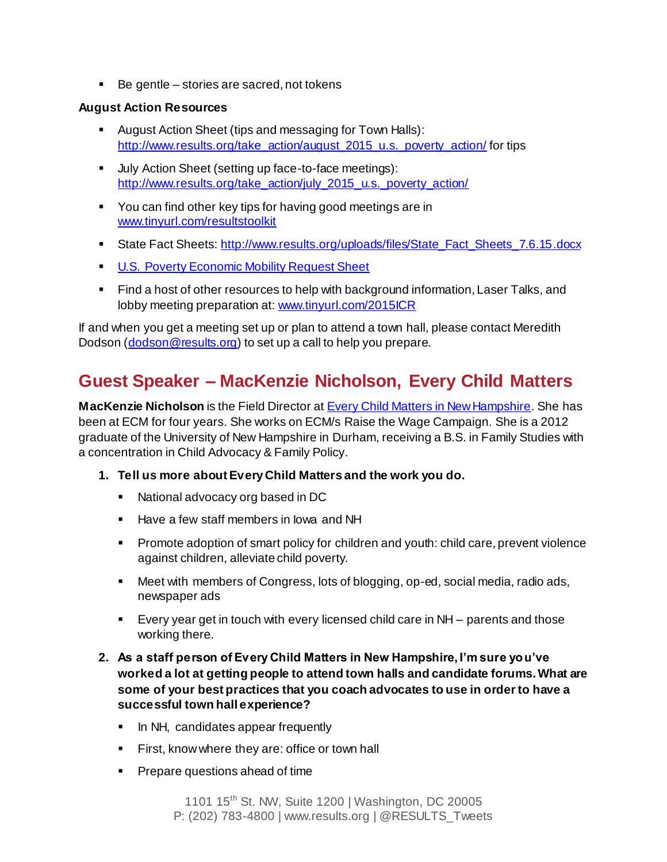■ Be gentle – stories are sacred, not tokens

#### **August Action Resources**

- August Action Sheet (tips and messaging for Town Halls): [http://www.results.org/take\\_action/august\\_2015\\_u.s.\\_poverty\\_action/](http://www.results.org/take_action/august_2015_u.s._poverty_action/) for tips
- Ully Action Sheet (setting up face-to-face meetings): [http://www.results.org/take\\_action/july\\_2015\\_u.s.\\_poverty\\_action/](http://www.results.org/take_action/july_2015_u.s._poverty_action/)
- You can find other key tips for having good meetings are in [www.tinyurl.com/resultstoolkit](http://www.tinyurl.com/resultstoolkit)
- State Fact Sheets[: http://www.results.org/uploads/files/State\\_Fact\\_Sheets\\_7.6.15.docx](http://www.results.org/uploads/files/State_Fact_Sheets_7.6.15.docx)
- **[U.S. Poverty Economic Mobility Request Sheet](http://www.results.org/uploads/files/2015_RESULTS_Economic_Mobility_Congressional_Requests.docx)**
- Find a host of other resources to help with background information, Laser Talks, and lobby meeting preparation at[: www.tinyurl.com/2015ICR](http://www.tinyurl.com/2015ICR)

If and when you get a meeting set up or plan to attend a town hall, please contact Meredith Dodson (dodson @results.org) to set up a call to help you prepare.

# **Guest Speaker – MacKenzie Nicholson, Every Child Matters**

**MacKenzie Nicholson** is the Field Director at **Every Child Matters in New Hampshire**. She has been at ECM for four years. She works on ECM/s Raise the Wage Campaign. She is a 2012 graduate of the University of New Hampshire in Durham, receiving a B.S. in Family Studies with a concentration in Child Advocacy & Family Policy.

- **1. Tell us more about Every Child Matters and the work you do.**
	- National advocacy org based in DC
	- **Have a few staff members in lowa and NH**
	- **Promote adoption of smart policy for children and youth: child care, prevent violence** against children, alleviate child poverty.
	- Meet with members of Congress, lots of blogging, op-ed, social media, radio ads, newspaper ads
	- Every year get in touch with every licensed child care in NH parents and those working there.
- **2. As a staff person of Every Child Matters in New Hampshire, I'm sure you've worked a lot at getting people to attend town halls and candidate forums. What are some of your best practices that you coach advocates to use in order to have a successful town hall experience?**
	- In NH, candidates appear frequently
	- **First, know where they are: office or town hall**
	- **Prepare questions ahead of time**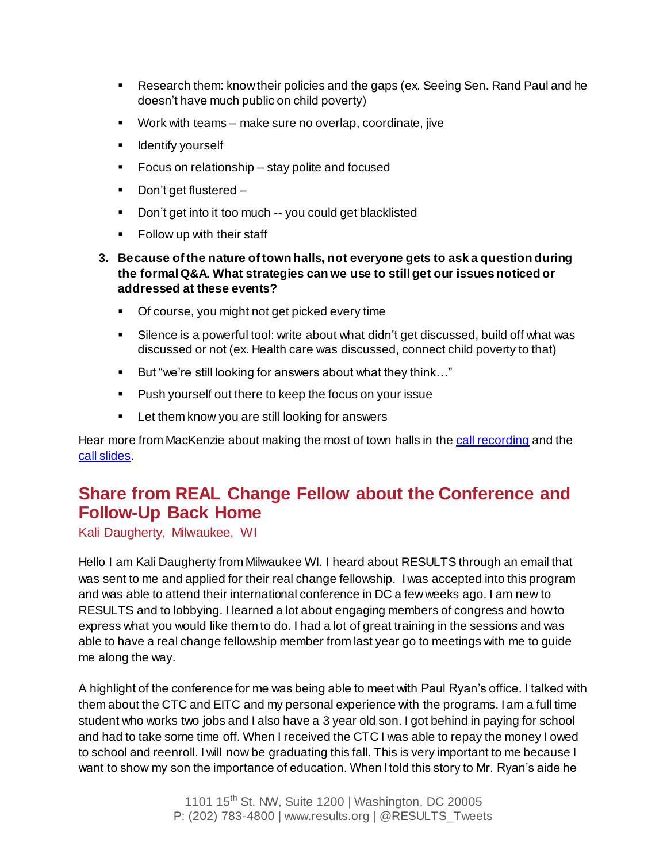- Research them: know their policies and the gaps (ex. Seeing Sen. Rand Paul and he doesn't have much public on child poverty)
- Work with teams make sure no overlap, coordinate, jive
- **If** Identify yourself
- **Focus on relationship stay polite and focused**
- Don't get flustered –
- Don't get into it too much -- you could get blacklisted
- **Follow up with their staff**
- **3. Because of the nature of town halls, not everyone gets to ask a question during the formal Q&A. What strategies can we use to still get our issues noticed or addressed at these events?**
	- Of course, you might not get picked every time
	- Silence is a powerful tool: write about what didn't get discussed, build off what was discussed or not (ex. Health care was discussed, connect child poverty to that)
	- But "we're still looking for answers about what they think..."
	- **Push yourself out there to keep the focus on your issue**
	- **EXECT** Let them know you are still looking for answers

Hear more from MacKenzie about making the most of town halls in th[e call recording](https://www.fuzemeeting.com/replay_meeting/f2988286/7552774) and the [call slides.](http://www.results.org/uploads/files/2015-08_RESULTS_U_S_Poverty_National_Mtg_Slides.pdf)

### **Share from REAL Change Fellow about the Conference and Follow-Up Back Home**

Kali Daugherty, Milwaukee, WI

Hello I am Kali Daugherty from Milwaukee WI. I heard about RESULTS through an email that was sent to me and applied for their real change fellowship. I was accepted into this program and was able to attend their international conference in DC a few weeks ago. I am new to RESULTS and to lobbying. I learned a lot about engaging members of congress and how to express what you would like them to do. I had a lot of great training in the sessions and was able to have a real change fellowship member from last year go to meetings with me to guide me along the way.

A highlight of the conference for me was being able to meet with Paul Ryan's office. I talked with them about the CTC and EITC and my personal experience with the programs. I am a full time student who works two jobs and I also have a 3 year old son. I got behind in paying for school and had to take some time off. When I received the CTC I was able to repay the money I owed to school and reenroll. I will now be graduating this fall. This is very important to me because I want to show my son the importance of education. When I told this story to Mr. Ryan's aide he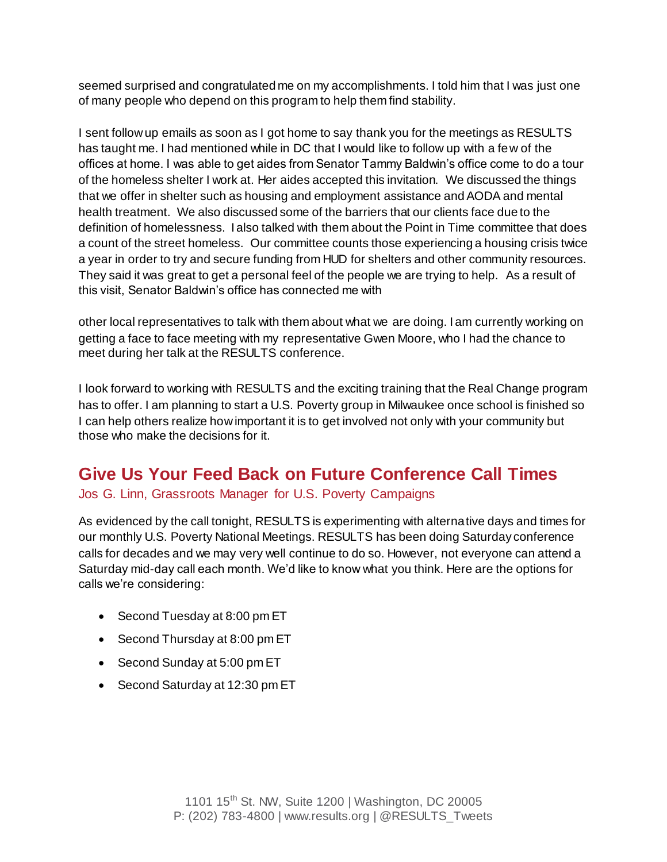seemed surprised and congratulated me on my accomplishments. I told him that I was just one of many people who depend on this program to help them find stability.

I sent follow up emails as soon as I got home to say thank you for the meetings as RESULTS has taught me. I had mentioned while in DC that I would like to follow up with a few of the offices at home. I was able to get aides from Senator Tammy Baldwin's office come to do a tour of the homeless shelter I work at. Her aides accepted this invitation. We discussed the things that we offer in shelter such as housing and employment assistance and AODA and mental health treatment. We also discussed some of the barriers that our clients face due to the definition of homelessness. I also talked with them about the Point in Time committee that does a count of the street homeless. Our committee counts those experiencing a housing crisis twice a year in order to try and secure funding from HUD for shelters and other community resources. They said it was great to get a personal feel of the people we are trying to help. As a result of this visit, Senator Baldwin's office has connected me with

other local representatives to talk with them about what we are doing. I am currently working on getting a face to face meeting with my representative Gwen Moore, who I had the chance to meet during her talk at the RESULTS conference.

I look forward to working with RESULTS and the exciting training that the Real Change program has to offer. I am planning to start a U.S. Poverty group in Milwaukee once school is finished so I can help others realize how important it is to get involved not only with your community but those who make the decisions for it.

### **Give Us Your Feed Back on Future Conference Call Times**

#### Jos G. Linn, Grassroots Manager for U.S. Poverty Campaigns

As evidenced by the call tonight, RESULTS is experimenting with alternative days and times for our monthly U.S. Poverty National Meetings. RESULTS has been doing Saturday conference calls for decades and we may very well continue to do so. However, not everyone can attend a Saturday mid-day call each month. We'd like to know what you think. Here are the options for calls we're considering:

- Second Tuesday at 8:00 pm ET
- Second Thursday at 8:00 pm ET
- Second Sunday at 5:00 pm ET
- Second Saturday at 12:30 pm ET